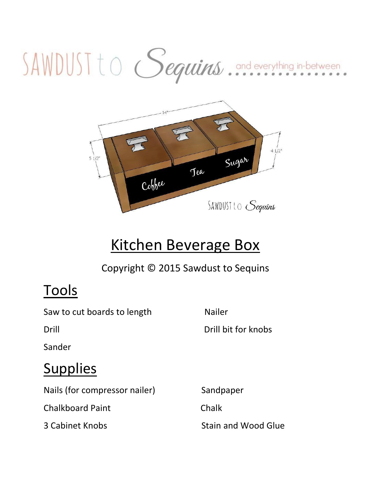# SAWDUST to Sequins..................



# Kitchen Beverage Box

Copyright © 2015 Sawdust to Sequins

#### **Tools**

Saw to cut boards to length Nailer

Drill Drill bit for knobs

Sander

#### **Supplies**

Nails (for compressor nailer) Sandpaper

Chalkboard Paint Chalk

3 Cabinet Knobs Stain and Wood Glue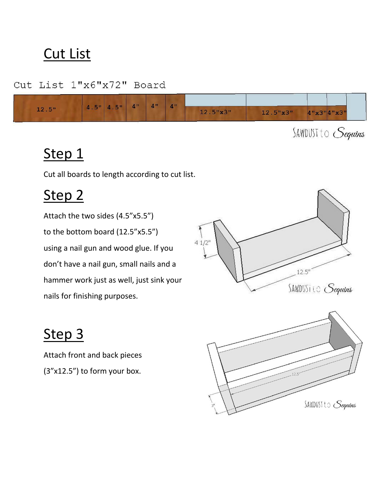#### Cut List

Cut List 1"x6"x72" Board



SAWDUST to Sequins

#### Step 1

Cut all boards to length according to cut list.

#### Step 2

Attach the two sides (4.5"x5.5") to the bottom board (12.5"x5.5") using a nail gun and wood glue. If you don't have a nail gun, small nails and a hammer work just as well, just sink your nails for finishing purposes.



## Step 3

Attach front and back pieces (3"x12.5") to form your box.